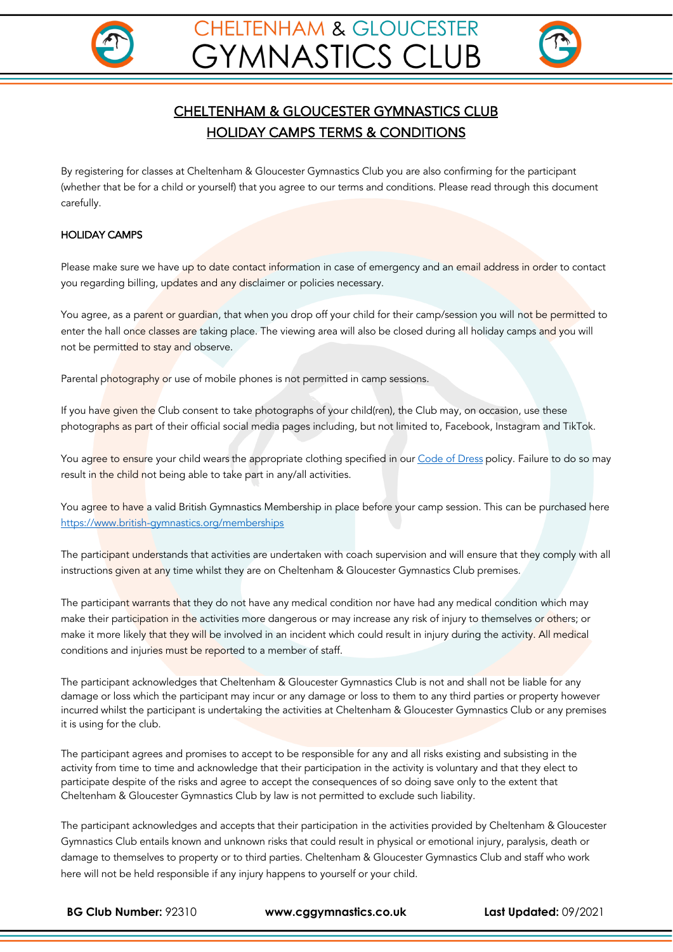



# CHELTENHAM & GLOUCESTER GYMNASTICS CLUB HOLIDAY CAMPS TERMS & CONDITIONS

By registering for classes at Cheltenham & Gloucester Gymnastics Club you are also confirming for the participant (whether that be for a child or yourself) that you agree to our terms and conditions. Please read through this document carefully.

## HOLIDAY CAMPS

Please make sure we have up to date contact information in case of emergency and an email address in order to contact you regarding billing, updates and any disclaimer or policies necessary.

You agree, as a parent or guardian, that when you drop off your child for their camp/session you will not be permitted to enter the hall once classes are taking place. The viewing area will also be closed during all holiday camps and you will not be permitted to stay and observe.

Parental photography or use of mobile phones is not permitted in camp sessions.

If you have given the Club consent to take photographs of your child(ren), the Club may, on occasion, use these photographs as part of their official social media pages including, but not limited to, Facebook, Instagram and TikTok.

You agree to ensure your child wears the appropriate clothing specified in our Code of Dress policy. Failure to do so may result in the child not being able to take part in any/all activities.

You agree to have a valid British Gymnastics Membership in place before your camp session. This can be purchased here https://www.british-gymnastics.org/memberships

The participant understands that activities are undertaken with coach supervision and will ensure that they comply with all instructions given at any time whilst they are on Cheltenham & Gloucester Gymnastics Club premises.

The participant warrants that they do not have any medical condition nor have had any medical condition which may make their participation in the activities more dangerous or may increase any risk of injury to themselves or others; or make it more likely that they will be involved in an incident which could result in injury during the activity. All medical conditions and injuries must be reported to a member of staff.

The participant acknowledges that Cheltenham & Gloucester Gymnastics Club is not and shall not be liable for any damage or loss which the participant may incur or any damage or loss to them to any third parties or property however incurred whilst the participant is undertaking the activities at Cheltenham & Gloucester Gymnastics Club or any premises it is using for the club.

The participant agrees and promises to accept to be responsible for any and all risks existing and subsisting in the activity from time to time and acknowledge that their participation in the activity is voluntary and that they elect to participate despite of the risks and agree to accept the consequences of so doing save only to the extent that Cheltenham & Gloucester Gymnastics Club by law is not permitted to exclude such liability.

The participant acknowledges and accepts that their participation in the activities provided by Cheltenham & Gloucester Gymnastics Club entails known and unknown risks that could result in physical or emotional injury, paralysis, death or damage to themselves to property or to third parties. Cheltenham & Gloucester Gymnastics Club and staff who work here will not be held responsible if any injury happens to yourself or your child.

**BG Club Number:** 92310 **www.cggymnastics.co.uk Last Updated:** 09/2021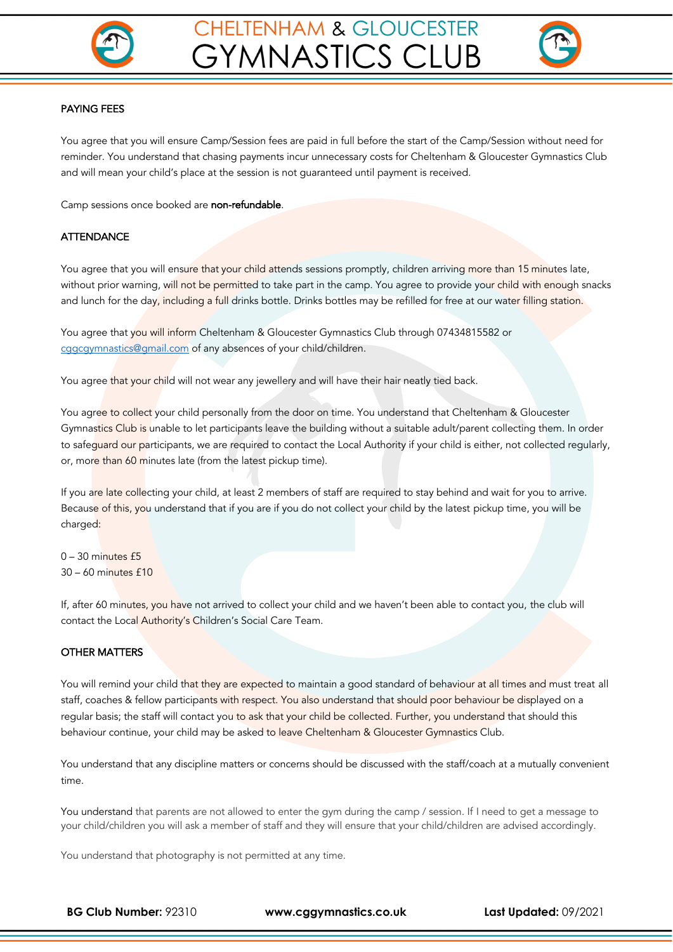



#### PAYING FEES

You agree that you will ensure Camp/Session fees are paid in full before the start of the Camp/Session without need for reminder. You understand that chasing payments incur unnecessary costs for Cheltenham & Gloucester Gymnastics Club and will mean your child's place at the session is not guaranteed until payment is received.

Camp sessions once booked are non-refundable.

### **ATTENDANCE**

You agree that you will ensure that your child attends sessions promptly, children arriving more than 15 minutes late, without prior warning, will not be permitted to take part in the camp. You agree to provide your child with enough snacks and lunch for the day, including a full drinks bottle. Drinks bottles may be refilled for free at our water filling station.

You agree that you will inform Cheltenham & Gloucester Gymnastics Club through 07434815582 or cggcgymnastics@gmail.com of any absences of your child/children.

You agree that your child will not wear any jewellery and will have their hair neatly tied back.

You agree to collect your child personally from the door on time. You understand that Cheltenham & Gloucester Gymnastics Club is unable to let participants leave the building without a suitable adult/parent collecting them. In order to safeguard our participants, we are required to contact the Local Authority if your child is either, not collected regularly, or, more than 60 minutes late (from the latest pickup time).

If you are late collecting your child, at least 2 members of staff are required to stay behind and wait for you to arrive. Because of this, you understand that if you are if you do not collect your child by the latest pickup time, you will be charged:

 $0 - 30$  minutes  $f5$ 30 – 60 minutes £10

If, after 60 minutes, you have not arrived to collect your child and we haven't been able to contact you, the club will contact the Local Authority's Children's Social Care Team.

### OTHER MATTERS

You will remind your child that they are expected to maintain a good standard of behaviour at all times and must treat all staff, coaches & fellow participants with respect. You also understand that should poor behaviour be displayed on a regular basis; the staff will contact you to ask that your child be collected. Further, you understand that should this behaviour continue, your child may be asked to leave Cheltenham & Gloucester Gymnastics Club.

You understand that any discipline matters or concerns should be discussed with the staff/coach at a mutually convenient time.

You understand that parents are not allowed to enter the gym during the camp / session. If I need to get a message to your child/children you will ask a member of staff and they will ensure that your child/children are advised accordingly.

You understand that photography is not permitted at any time.

**BG Club Number:** 92310 **www.cggymnastics.co.uk Last Updated:** 09/2021